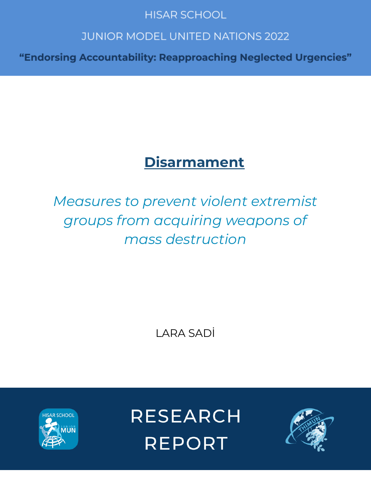# **HISAR SCHOOL**

# **JUNIOR MODEL UNITED NATIONS 2022**

"Endorsing Accountability: Reapproaching Neglected Urgencies"

# **Disarmament**

# *Measures to prevent violent extremist groups from acquiring weapons of mass destruction*

LARA SADİ



**RESEARCH REPORT** 

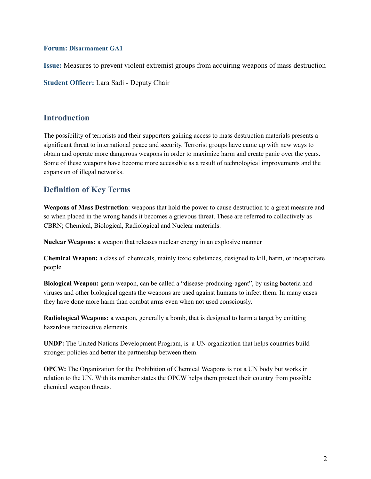#### **Forum: Disarmament GA1**

**Issue:** Measures to prevent violent extremist groups from acquiring weapons of mass destruction

**Student Officer:** Lara Sadi - Deputy Chair

### **Introduction**

The possibility of terrorists and their supporters gaining access to mass destruction materials presents a significant threat to international peace and security. Terrorist groups have came up with new ways to obtain and operate more dangerous weapons in order to maximize harm and create panic over the years. Some of these weapons have become more accessible as a result of technological improvements and the expansion of illegal networks.

## **Definition of Key Terms**

**Weapons of Mass Destruction**: weapons that hold the power to cause destruction to a great measure and so when placed in the wrong hands it becomes a grievous threat. These are referred to collectively as CBRN; Chemical, Biological, Radiological and Nuclear materials.

**Nuclear Weapons:** a weapon that releases nuclear energy in an explosive manner

**Chemical Weapon:** a class of chemicals, mainly toxic substances, designed to kill, harm, or incapacitate people

**Biological Weapon:** germ weapon, can be called a "disease-producing-agent", by using bacteria and viruses and other biological agents the weapons are used against humans to infect them. In many cases they have done more harm than combat arms even when not used consciously.

**Radiological Weapons:** a weapon, generally a bomb, that is designed to harm a target by emitting hazardous radioactive elements.

**UNDP:** The United Nations Development Program, is a UN organization that helps countries build stronger policies and better the partnership between them.

**OPCW:** The Organization for the Prohibition of Chemical Weapons is not a UN body but works in relation to the UN. With its member states the OPCW helps them protect their country from possible chemical weapon threats.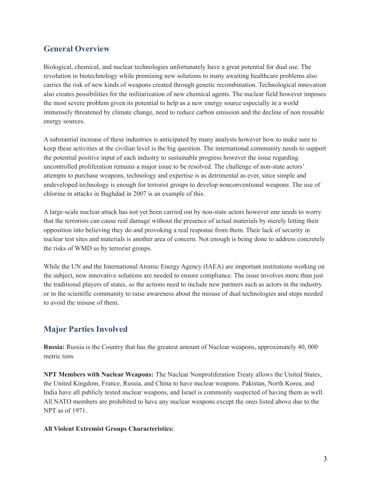# **General Overview**

Biological, chemical, and nuclear technologies unfortunately have a great potential for dual use. The revolution in biotechnology while promising new solutions to many awaiting healthcare problems also carries the risk of new kinds of weapons created through genetic recombination. Technological innovation also creates possibilities for the militarization of new chemical agents. The nuclear field however imposes the most severe problem given its potential to help as a new energy source especially in a world immensely threatened by climate change, need to reduce carbon emission and the decline of non reusable energy sources.

A substantial increase of these industries is anticipated by many analysts however how to make sure to keep these activities at the civilian level is the big question. The international community needs to support the potential positive input of each industry to sustainable progress however the issue regarding uncontrolled proliferation remains a major issue to be resolved. The challenge of non-state actors' attempts to purchase weapons, technology and expertise is as detrimental as ever, since simple and undeveloped technology is enough for terrorist groups to develop nonconventional weapons. The use of chlorine in attacks in Baghdad in 2007 is an example of this.

A large-scale nuclear attack has not yet been carried out by non-state actors however one needs to worry that the terrorists can cause real damage without the presence of actual materials by merely letting their opposition into believing they do and provoking a real response from them. Their lack of security in nuclear test sites and materials is another area of concern. Not enough is being done to address concretely the risks of WMD us by terrorist groups.

While the UN and the International Atomic Energy Agency (IAEA) are important institutions working on the subject, new innovative solutions are needed to ensure compliance. The issue involves more than just the traditional players of states, so the actions need to include new partners such as actors in the industry or in the scientific community to raise awareness about the misuse of dual technologies and steps needed to avoid the misuse of them.

# **Major Parties Involved**

**Russia:** Russia is the Country that has the greatest amount of Nuclear weapons, approximately 40, 000 metric tons

**NPT Members with Nuclear Weapons:** The Nuclear Nonproliferation Treaty allows the United States, the United Kingdom, France, Russia, and China to have nuclear weapons. Pakistan, North Korea, and India have all publicly tested nuclear weapons, and Israel is commonly suspected of having them as well. All NATO members are prohibited to have any nuclear weapons except the ones listed above due to the NPT as of 1971.

#### **All Violent Extremist Groups Characteristics:**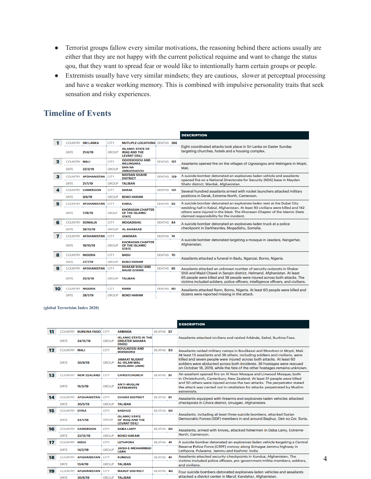- Terrorist groups fallow every similar motivations, the reasoning behind there actions usually are either that they are not happy with the current polictical requime and want to change the status qou, that they want to spread fear or would like to intentionally harm certain groups or people.
- Extremists usually have very similar mindsets; they are cautious, slower at perceptual processing and have a weaker working memory. This is combined with impulsive personality traits that seek sensation and risky experiences.

# **Timeline of Events**

|    |                     |                            |              |                                                                        |            |  | <b>DESCRIPTION</b>                                                                                                                                                                                                                                                                                                 |
|----|---------------------|----------------------------|--------------|------------------------------------------------------------------------|------------|--|--------------------------------------------------------------------------------------------------------------------------------------------------------------------------------------------------------------------------------------------------------------------------------------------------------------------|
|    |                     | <b>COUNTRY SRILANKA</b>    | <b>CITY</b>  | <b>MUTLIPLE LOCATIONS: DEATHS 266</b>                                  |            |  | Eight coordinated attacks took place in Sri Lanka on Easter Sunday<br>targeting churches, hotels and a housing complex.                                                                                                                                                                                            |
|    | DATE                | 21/4/19                    | <b>GROUP</b> | <b>ISLAMIC STATE OF</b><br><b>IRAO AND THE</b><br><b>LEVANT (ISIL)</b> |            |  |                                                                                                                                                                                                                                                                                                                    |
|    | <b>COUNTRY MALI</b> |                            | <b>CITY</b>  | <b>OGOSSOGOU AND</b><br><b>WELINGARA</b>                               | DEATHS 157 |  | Assailants opened fire on the villages of Ogossogou and Welingara in Mopti,                                                                                                                                                                                                                                        |
|    | <b>DATE</b>         | 23/3/19                    | <b>GROUP</b> | <b>DAN NA</b><br><b>AMBASSAGOU</b>                                     |            |  | Mali.                                                                                                                                                                                                                                                                                                              |
| з  | <b>COUNTRY</b>      | <b>AFGHANISTAN</b>         | <b>CITY</b>  | <b>MAYDAN SHAHR</b><br><b>DISTRICT</b>                                 | DEATHS 129 |  | A suicide bomber detonated an explosives-laden vehicle and assailants<br>opened fire on a National Directorate for Security (NDS) base in Maydan<br>Shahr district, Wardak, Afghanistan.                                                                                                                           |
|    | <b>DATE</b>         | 21/1/19                    | <b>GROUP</b> | <b>TALIBAN</b>                                                         |            |  |                                                                                                                                                                                                                                                                                                                    |
| Δ  | <b>COUNTRY</b>      | <b>CAMEROON</b>            | <b>CITY</b>  | <b>DARAK</b>                                                           | DEATHS 101 |  | Several hundred assailants armed with rocket launchers attacked military<br>positions in Darak, Extreme-North, Cameroon.                                                                                                                                                                                           |
|    | <b>DATE</b>         | 9/6/19                     | <b>GROUP</b> | <b>BOKO HARAM</b>                                                      |            |  |                                                                                                                                                                                                                                                                                                                    |
| 5  |                     | <b>COUNTRY AFGHANISTAN</b> | <b>CITY</b>  | <b>KABUL</b>                                                           | DEATHS 93  |  | A suicide bomber detonated an explosives-laden vest at the Dubai City<br>wedding hall in Kabul, Afghanistan. At least 93 civilians were killed and 142<br>others were injured in the blast. The Khorasan Chapter of the Islamic State<br>claimed responsibility for the incident.                                  |
|    | <b>DATE</b>         | 17/8/19                    | <b>GROUP</b> | <b>KHORASAN CHAPTER</b><br>OF THE ISLAMIC<br><b>STATE</b>              |            |  |                                                                                                                                                                                                                                                                                                                    |
| 6  |                     | <b>COUNTRY SOMALIA</b>     | <b>CITY</b>  | <b>MOGADISHU</b>                                                       | DEATHS 84  |  | A suicide bomber detonated an explosives-laden truck at a police<br>checkpoint in Darkheynley, Mogadishu, Somalia.                                                                                                                                                                                                 |
|    | <b>DATE</b>         | 28/12/19                   | <b>GROUP</b> | <b>AL-SHABAAB</b>                                                      |            |  |                                                                                                                                                                                                                                                                                                                    |
| 7  |                     | <b>COUNTRY AFGHANISTAN</b> | <b>CITY</b>  | <b>JAWDARA</b>                                                         | DEATHS 74  |  | A suicide bomber detonated targeting a mosque in Jawdara, Nangarhar,<br>Afghanistan.                                                                                                                                                                                                                               |
|    | <b>DATE</b>         | 18/10/19                   | <b>GROUP</b> | <b>KHORASAN CHAPTER</b><br>OF THE ISLAMIC<br><b>STATE</b>              |            |  |                                                                                                                                                                                                                                                                                                                    |
| 8  | <b>COUNTRY</b>      | <b>NIGERIA</b>             | <b>CITY</b>  | <b>BADU</b>                                                            | DEATHS 70  |  | Assailants attacked a funeral in Badu, Nganzai, Borno, Nigeria.                                                                                                                                                                                                                                                    |
|    | DATE                | 27/7/19                    | <b>GROUP</b> | <b>BOKO HARAM</b>                                                      |            |  |                                                                                                                                                                                                                                                                                                                    |
| 9  |                     | <b>COUNTRY AFGHANISTAN</b> | <b>CITY</b>  | <b>SHAKAR SHILI AND</b><br><b>MAJID CHAWK</b>                          | DEATHS 65  |  | Assailants attacked an unknown number of security outposts in Shakar<br>Shili and Majid Chawk in Sangin district, Helmand, Afghanistan. At least<br>65 people were killed and 38 people were injured across both attacks. The<br>victims included soldiers, police officers, intelligence officers, and civilians. |
|    | <b>DATE</b>         | 23/3/19                    | <b>GROUP</b> | <b>TALIBAN</b>                                                         |            |  |                                                                                                                                                                                                                                                                                                                    |
| 10 | <b>COUNTRY</b>      | <b>NIGERIA</b>             | <b>CITY</b>  | <b>RANN</b>                                                            | DEATHS 60  |  | Assailants attacked Rann, Borno, Nigeria. At least 60 people were killed and                                                                                                                                                                                                                                       |
|    | DATE                | 28/1/19                    | <b>GROUP</b> | <b>BOKO HARAM</b>                                                      |            |  | dozens were reported missing in the attack.                                                                                                                                                                                                                                                                        |

#### **(global Terrorisim Index 2020)**

|    |                |                             |               |                                                                       |           |  | <b>DESCRIPTION</b>                                                                                                                                                                                                                                                                                                                                                                          |
|----|----------------|-----------------------------|---------------|-----------------------------------------------------------------------|-----------|--|---------------------------------------------------------------------------------------------------------------------------------------------------------------------------------------------------------------------------------------------------------------------------------------------------------------------------------------------------------------------------------------------|
| 11 |                | <b>COUNTRY BURKINA FASO</b> | <b>CITY</b>   | <b>ARBINDA</b>                                                        | DEATHS 57 |  | Assailants attacked civilians and raided Arbinda, Sahel, Burkina Faso,                                                                                                                                                                                                                                                                                                                      |
|    | DATE           | 24/12/19                    | <b>GROUP</b>  | <b>ISLAMIC STATE IN THE</b><br><b>GREATER SAHARA</b><br>(ISGS)        |           |  |                                                                                                                                                                                                                                                                                                                                                                                             |
| 12 | COUNTRY MALI   |                             | <b>CITY</b>   | <b>BOULIKESSI AND</b><br><b>MONDORO</b>                               | DEATHS 53 |  | Assailants raided military camps in Boulikessi and Mondoro in Mopti, Mali.<br>At least 15 assailants and 38 others, including soldiers and civilians, were<br>killed and seven people were injured across both attacks. At least 60<br>soldiers were abducted across both incidents. 36 hostages were rescued<br>on October 18, 2019, while the fate of the other hostages remains unknown. |
|    | DATE           | 30/9/19                     | <b>GROUP</b>  | <b>JAMAAT NUSRAT</b><br><b>AL-ISLAM WAL</b><br><b>MUSLIMIN (JNIM)</b> |           |  |                                                                                                                                                                                                                                                                                                                                                                                             |
| 13 |                | COUNTRY NEW ZEALAND         | <b>CITY</b>   | <b>CHRISTCHURCH</b>                                                   | DEATHS 51 |  | An assailant opened fire on Al Noor Mosque and Linwood Mosque, both<br>in Christchurch, Canterbury, New Zealand. At least 51 people were killed<br>and 50 others were injured across the two attacks. The perpetrator stated<br>the attack was carried out in retaliation for attacks perpetrated by Muslim<br>extremists.                                                                  |
|    | <b>DATE</b>    | 15/3/19                     | <b>GROUP</b>  | <b>ANTI-MUSLIM</b><br><b>EXTREMISTS</b>                               |           |  |                                                                                                                                                                                                                                                                                                                                                                                             |
| 14 | <b>COUNTRY</b> | <b>AFGHANISTAN</b>          | <b>CITY</b>   | <b>CHORA DISTRICT</b>                                                 | DEATHS 51 |  | Assailants equipped with firearms and explosives-laden vehicles attacked                                                                                                                                                                                                                                                                                                                    |
|    | <b>DATE</b>    | 30/5/19                     | <b>GROUP</b>  | <b>TALIBAN</b>                                                        |           |  | checkposts in Chora district, Uruzgan, Afghanistan,                                                                                                                                                                                                                                                                                                                                         |
| 15 | COUNTRY SYRIA  |                             | <b>CITY</b>   | <b>BAGHUZ</b>                                                         | DEATHS 50 |  | Assailants, including at least three suicide bombers, attacked Syrian<br>Democratic Forces (SDF) members in and around Baghuz, Deir ez-Zor, Syria.                                                                                                                                                                                                                                          |
|    | DATE           | 24/1/19                     | <b>GROUP</b>  | <b>ISLAMIC STATE</b><br>OF IRAQ AND THE<br><b>LEVANT (ISIL)</b>       |           |  |                                                                                                                                                                                                                                                                                                                                                                                             |
| 16 |                | COUNTRY CAMEROON            | <b>CITY</b>   | <b>DABA LAMY</b>                                                      | DEATHS 50 |  | Assailants, armed with knives, attacked fishermen in Daba Lamy, Extreme-                                                                                                                                                                                                                                                                                                                    |
|    | DATE           | 22/12/19                    | <b>GROUP</b>  | <b>BOKO HARAM</b>                                                     |           |  | North, Cameroon,                                                                                                                                                                                                                                                                                                                                                                            |
| 17 | COUNTRY INDIA  |                             | <b>CITY</b>   | <b>LETHPORA</b>                                                       | DEATHS 41 |  | A suicide bomber detonated an explosives-laden vehicle targeting a Central                                                                                                                                                                                                                                                                                                                  |
|    | <b>DATE</b>    | 14/2/19                     | <b>GROUP</b>  | <b>JAISH-E-MOHAMMAD</b><br>(JEM)                                      |           |  | Reserve Police Force (CRPF) convoy along Srinagar-Jammu highway in<br>Lethpora, Pulwama, Jammu and Kashmir, India.                                                                                                                                                                                                                                                                          |
| 18 |                | COUNTRY AFGHANISTAN         | <b>CITY</b>   | <b>KUNDUZ</b>                                                         | DEATHS 41 |  | Assailants attacked security checkpoints in Kunduz, Afghanistan. The                                                                                                                                                                                                                                                                                                                        |
|    | <b>DATE</b>    | 13/4/19                     | <b>GROUP</b>  | <b>TALIBAN</b>                                                        |           |  | victims included police officers, pro-government militia members, soldiers,<br>and civilians.                                                                                                                                                                                                                                                                                               |
| 19 | COUNTRY        | <b>AFGHANISTAN</b>          | <b>CITY</b>   | <b>MARUF DISTRICT</b>                                                 | DEATHS 40 |  | Four suicide bombers detonated explosives-laden vehicles and assailants                                                                                                                                                                                                                                                                                                                     |
|    |                | 20/6/10                     | <b>DOM ID</b> | <b>TAI IDAM</b>                                                       |           |  | attacked a district center in Maruf, Kandahar, Afghanistan,                                                                                                                                                                                                                                                                                                                                 |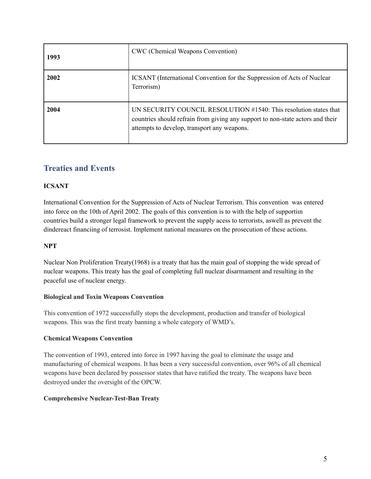| 1993 | <b>CWC</b> (Chemical Weapons Convention)                                                                                                                                                           |
|------|----------------------------------------------------------------------------------------------------------------------------------------------------------------------------------------------------|
| 2002 | ICSANT (International Convention for the Suppression of Acts of Nuclear<br>Terrorism)                                                                                                              |
| 2004 | UN SECURITY COUNCIL RESOLUTION #1540: This resolution states that<br>countries should refrain from giving any support to non-state actors and their<br>attempts to develop, transport any weapons. |

# **Treaties and Events**

#### **ICSANT**

International Convention for the Suppression of Acts of Nuclear Terrorism. This convention was entered into force on the 10th of April 2002. The goals of this convention is to with the help of supportiın countries build a stronger legal framework to prevent the supply acess to terrorists, aswell as prevent the dindereact financiing of terrosist. Implement national measures on the prosecution of these actions.

#### **NPT**

Nuclear Non Proliferation Treaty(1968) is a treaty that has the main goal of stopping the wide spread of nuclear weapons. This treaty has the goal of completing full nuclear disarmament and resulting in the peaceful use of nuclear energy.

#### **Biological and Toxin Weapons Convention**

This convention of 1972 successfully stops the development, production and transfer of biological weapons. This was the first treaty banning a whole category of WMD's.

#### **Chemical Weapons Convention**

The convention of 1993, entered into force in 1997 having the goal to eliminate the usage and manufacturing of chemical weapons. It has been a very successful convention, over 96% of all chemical weapons have been declared by possessor states that have ratified the treaty. The weapons have been destroyed under the oversight of the OPCW.

#### **Comprehensive Nuclear-Test-Ban Treaty**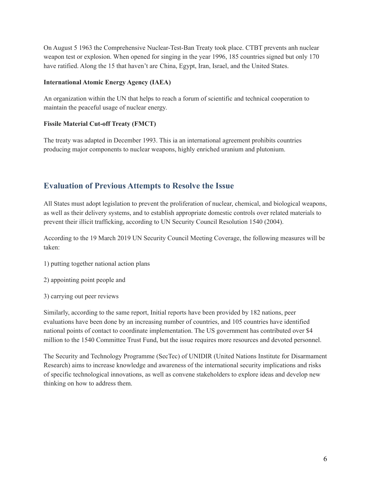On August 5 1963 the Comprehensive Nuclear-Test-Ban Treaty took place. CTBT prevents anh nuclear weapon test or explosion. When opened for singing in the year 1996, 185 countries signed but only 170 have ratified. Along the 15 that haven't are China, Egypt, Iran, Israel, and the United States.

#### **International Atomic Energy Agency (IAEA)**

An organization within the UN that helps to reach a forum of scientific and technical cooperation to maintain the peaceful usage of nuclear energy.

#### **Fissile Material Cut-off Treaty (FMCT)**

The treaty was adapted in December 1993. This ia an international agreement prohibits countries producing major components to nuclear weapons, highly enriched uranium and plutonium.

## **Evaluation of Previous Attempts to Resolve the Issue**

All States must adopt legislation to prevent the proliferation of nuclear, chemical, and biological weapons, as well as their delivery systems, and to establish appropriate domestic controls over related materials to prevent their illicit trafficking, according to UN Security Council Resolution 1540 (2004).

According to the 19 March 2019 UN Security Council Meeting Coverage, the following measures will be taken:

- 1) putting together national action plans
- 2) appointing point people and
- 3) carrying out peer reviews

Similarly, according to the same report, Initial reports have been provided by 182 nations, peer evaluations have been done by an increasing number of countries, and 105 countries have identified national points of contact to coordinate implementation. The US government has contributed over \$4 million to the 1540 Committee Trust Fund, but the issue requires more resources and devoted personnel.

The Security and Technology Programme (SecTec) of UNIDIR (United Nations Institute for Disarmament Research) aims to increase knowledge and awareness of the international security implications and risks of specific technological innovations, as well as convene stakeholders to explore ideas and develop new thinking on how to address them.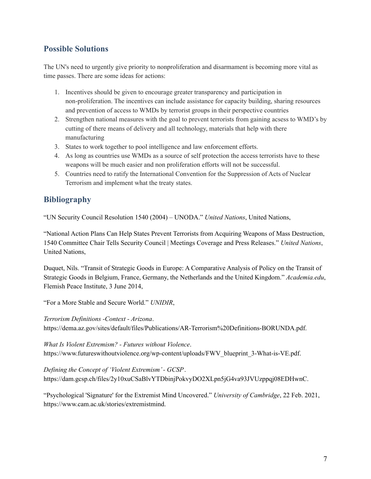# **Possible Solutions**

The UN's need to urgently give priority to nonproliferation and disarmament is becoming more vital as time passes. There are some ideas for actions:

- 1. Incentives should be given to encourage greater transparency and participation in non-proliferation. The incentives can include assistance for capacity building, sharing resources and prevention of access to WMDs by terrorist groups in their perspective countries
- 2. Strengthen national measures with the goal to prevent terrorists from gaining acsess to WMD's by cutting of there means of delivery and all technology, materials that help with there manufacturing
- 3. States to work together to pool intelligence and law enforcement efforts.
- 4. As long as countries use WMDs as a source of self protection the access terrorists have to these weapons will be much easier and non proliferation efforts will not be successful.
- 5. Countries need to ratify the International Convention for the Suppression of Acts of Nuclear Terrorism and implement what the treaty states.

# **Bibliography**

"UN Security Council Resolution 1540 (2004) – UNODA." *United Nations*, United Nations,

"National Action Plans Can Help States Prevent Terrorists from Acquiring Weapons of Mass Destruction, 1540 Committee Chair Tells Security Council | Meetings Coverage and Press Releases." *United Nations*, United Nations,

Duquet, Nils. "Transit of Strategic Goods in Europe: A Comparative Analysis of Policy on the Transit of Strategic Goods in Belgium, France, Germany, the Netherlands and the United Kingdom." *Academia.edu*, Flemish Peace Institute, 3 June 2014,

"For a More Stable and Secure World." *UNIDIR*,

*Terrorism Definitions -Context - Arizona*. https://dema.az.gov/sites/default/files/Publications/AR-Terrorism%20Definitions-BORUNDA.pdf.

*What Is Violent Extremism? - Futures without Violence*. https://www.futureswithoutviolence.org/wp-content/uploads/FWV\_blueprint\_3-What-is-VE.pdf.

*Defining the Concept of 'Violent Extremism'- GCSP*. https://dam.gcsp.ch/files/2y10xuCSaBlvYTDbinjPokvyDO2XLpn5jG4va93JVUzppqj08EDHwnC.

"Psychological 'Signature' for the Extremist Mind Uncovered." *University of Cambridge*, 22 Feb. 2021, https://www.cam.ac.uk/stories/extremistmind.